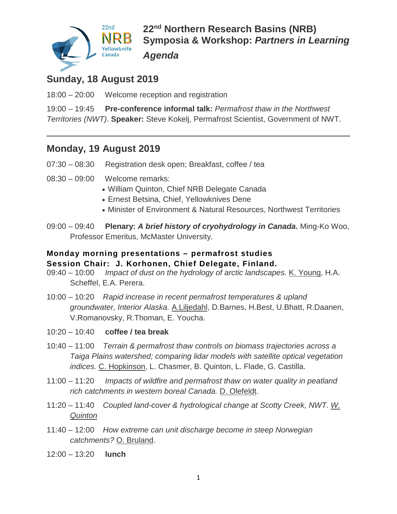

### **Sunday, 18 August 2019**

18:00 – 20:00 Welcome reception and registration

19:00 – 19:45 **Pre-conference informal talk:** *Permafrost thaw in the Northwest Territories (NWT)*. **Speaker:** Steve Kokelj, Permafrost Scientist, Government of NWT.

### **Monday, 19 August 2019**

- 07:30 08:30 Registration desk open; Breakfast, coffee / tea
- 08:30 09:00 Welcome remarks:
	- William Quinton, Chief NRB Delegate Canada
	- Ernest Betsina, Chief, Yellowknives Dene
	- Minister of Environment & Natural Resources, Northwest Territories
- 09:00 09:40 **Plenary:** *A brief history of cryohydrology in Canada***.** Ming-Ko Woo, Professor Emeritus, McMaster University.

#### **Monday morning presentations – permafrost studies Session Chair: J. Korhonen, Chief Delegate, Finland.**

- 09:40 10:00 *Impact of dust on the hydrology of arctic landscapes.* K. Young, H.A. Scheffel, E.A. Perera.
- 10:00 10:20 *Rapid increase in recent permafrost temperatures & upland groundwater, Interior Alaska.* A.Liljedahl, D.Barnes, H.Best, U.Bhatt, R.Daanen, V.Romanovsky, R.Thoman, E. Youcha.
- 10:20 10:40 **coffee / tea break**
- 10:40 11:00 *Terrain & permafrost thaw controls on biomass trajectories across a Taiga Plains watershed; comparing lidar models with satellite optical vegetation indices.* C. Hopkinson, L. Chasmer, B. Quinton, L. Flade, G. Castilla.
- 11:00 11:20 *Impacts of wildfire and permafrost thaw on water quality in peatland rich catchments in western boreal Canada.* D. Olefeldt.
- 11:20 11:40 *Coupled land-cover & hydrological change at Scotty Creek, NWT. W. Quinton*
- 11:40 12:00 *How extreme can unit discharge become in steep Norwegian catchments?* O. Bruland.
- 12:00 13:20 **lunch**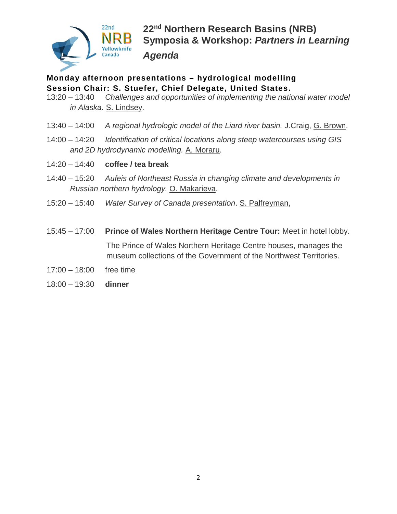

# **Monday afternoon presentations – hydrological modelling Session Chair: S. Stuefer, Chief Delegate, United States.**

- 13:20 13:40 *Challenges and opportunities of implementing the national water model in Alaska.* S. Lindsey.
- 13:40 14:00 *A regional hydrologic model of the Liard river basin.* J.Craig, G. Brown.
- 14:00 14:20 *Identification of critical locations along steep watercourses using GIS and 2D hydrodynamic modelling.* A. Moraru.
- 14:20 14:40 **coffee / tea break**
- 14:40 15:20 *Aufeis of Northeast Russia in changing climate and developments in Russian northern hydrology.* O. Makarieva.
- 15:20 15:40 *Water Survey of Canada presentation*. S. Palfreyman,
- 15:45 17:00 **Prince of Wales Northern Heritage Centre Tour:** Meet in hotel lobby. The Prince of Wales Northern Heritage Centre houses, manages the museum collections of the Government of the Northwest Territories.
- 17:00 18:00 free time
- 18:00 19:30 **dinner**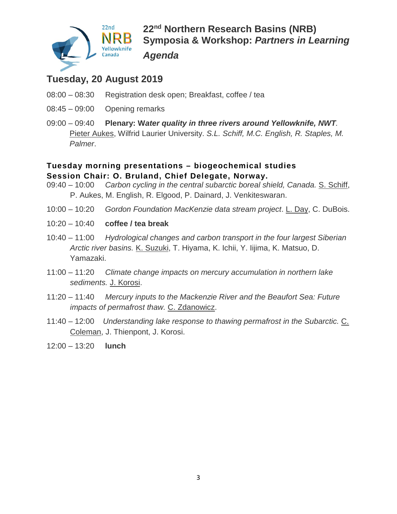

## **Tuesday, 20 August 2019**

- 08:00 08:30 Registration desk open; Breakfast, coffee / tea
- 08:45 09:00 Opening remarks
- 09:00 09:40 **Plenary: W***ater quality in three rivers around Yellowknife, NWT.* Pieter Aukes, Wilfrid Laurier University. *S.L. Schiff, M.C. English, R. Staples, M. Palmer*.

#### **Tuesday morning presentations – biogeochemical studies Session Chair: O. Bruland, Chief Delegate, Norway.**

- 09:40 10:00 *Carbon cycling in the central subarctic boreal shield, Canada.* S. Schiff, P. Aukes, M. English, R. Elgood, P. Dainard, J. Venkiteswaran.
- 10:00 10:20 *Gordon Foundation MacKenzie data stream project*. L. Day, C. DuBois.
- 10:20 10:40 **coffee / tea break**
- 10:40 11:00 *Hydrological changes and carbon transport in the four largest Siberian Arctic river basins.* K. Suzuki, T. Hiyama, K. Ichii, Y. Iijima, K. Matsuo, D. Yamazaki.
- 11:00 11:20 *Climate change impacts on mercury accumulation in northern lake sediments.* J. Korosi.
- 11:20 11:40 *Mercury inputs to the Mackenzie River and the Beaufort Sea: Future impacts of permafrost thaw.* C. Zdanowicz.
- 11:40 12:00 *Understanding lake response to thawing permafrost in the Subarctic.* C. Coleman, J. Thienpont, J. Korosi.
- 12:00 13:20 **lunch**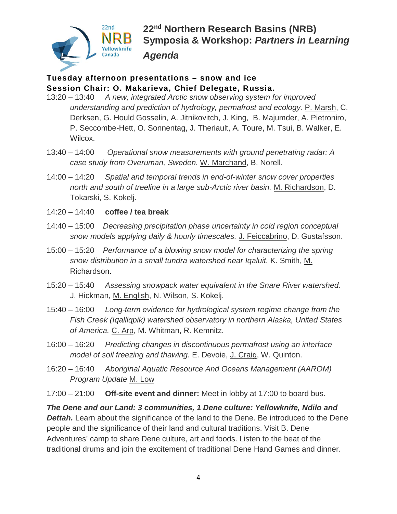

#### **Tuesday afternoon presentations – snow and ice Session Chair: O. Makarieva, Chief Delegate, Russia.**

- 13:20 13:40 *A new, integrated Arctic snow observing system for improved understanding and prediction of hydrology, permafrost and ecology.* P. Marsh, C. Derksen, G. Hould Gosselin, A. Jitnikovitch, J. King, B. Majumder, A. Pietroniro, P. Seccombe-Hett, O. Sonnentag, J. Theriault, A. Toure, M. Tsui, B. Walker, E. Wilcox.
- 13:40 14:00 *Operational snow measurements with ground penetrating radar: A case study from Överuman, Sweden.* W. Marchand, B. Norell.
- 14:00 14:20 *Spatial and temporal trends in end-of-winter snow cover properties north and south of treeline in a large sub-Arctic river basin.* M. Richardson, D. Tokarski, S. Kokelj.
- 14:20 14:40 **coffee / tea break**
- 14:40 15:00 *Decreasing precipitation phase uncertainty in cold region conceptual snow models applying daily & hourly timescales.* J. Feiccabrino, D. Gustafsson.
- 15:00 15:20 *Performance of a blowing snow model for characterizing the spring snow distribution in a small tundra watershed near Iqaluit.* K. Smith, M. Richardson.
- 15:20 15:40 *Assessing snowpack water equivalent in the Snare River watershed.* J. Hickman, M. English, N. Wilson, S. Kokelj.
- 15:40 16:00 *Long-term evidence for hydrological system regime change from the Fish Creek (Iqalliqpik) watershed observatory in northern Alaska, United States*  of America. C. Arp, M. Whitman, R. Kemnitz.
- 16:00 16:20 *Predicting changes in discontinuous permafrost using an interface model of soil freezing and thawing.* E. Devoie, J. Craig, W. Quinton.
- 16:20 16:40 *Aboriginal Aquatic Resource And Oceans Management (AAROM) Program Update* M. Low

17:00 – 21:00 **Off-site event and dinner:** Meet in lobby at 17:00 to board bus.

*The Dene and our Land: 3 communities, 1 Dene culture: Yellowknife, Ndilo and*  **Dettah.** Learn about the significance of the land to the Dene. Be introduced to the Dene people and the significance of their land and cultural traditions. Visit B. Dene Adventures' camp to share Dene culture, art and foods. Listen to the beat of the traditional drums and join the excitement of traditional Dene Hand Games and dinner.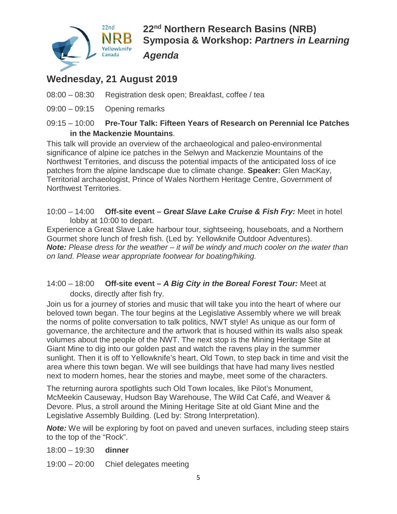

**22nd Northern Research Basins (NRB) Symposia & Workshop:** *Partners in Learning Agenda*

## **Wednesday, 21 August 2019**

- 08:00 08:30 Registration desk open; Breakfast, coffee / tea
- 09:00 09:15 Opening remarks

#### 09:15 – 10:00 **Pre-Tour Talk: Fifteen Years of Research on Perennial Ice Patches in the Mackenzie Mountains**.

This talk will provide an overview of the archaeological and paleo-environmental significance of alpine ice patches in the Selwyn and Mackenzie Mountains of the Northwest Territories, and discuss the potential impacts of the anticipated loss of ice patches from the alpine landscape due to climate change. **Speaker:** Glen MacKay, Territorial archaeologist, Prince of Wales Northern Heritage Centre, Government of Northwest Territories.

10:00 – 14:00 **Off-site event –** *Great Slave Lake Cruise & Fish Fry:* Meet in hotel lobby at 10:00 to depart.

Experience a Great Slave Lake harbour tour, sightseeing, houseboats, and a Northern Gourmet shore lunch of fresh fish. (Led by: Yellowknife Outdoor Adventures). *Note: Please dress for the weather – it will be windy and much cooler on the water than on land. Please wear appropriate footwear for boating/hiking.*

#### 14:00 – 18:00 **Off-site event –** *A Big City in the Boreal Forest Tour:* Meet at docks, directly after fish fry.

Join us for a journey of stories and music that will take you into the heart of where our beloved town began. The tour begins at the Legislative Assembly where we will break the norms of polite conversation to talk politics, NWT style! As unique as our form of governance, the architecture and the artwork that is housed within its walls also speak volumes about the people of the NWT. The next stop is the Mining Heritage Site at Giant Mine to dig into our golden past and watch the ravens play in the summer sunlight. Then it is off to Yellowknife's heart, Old Town, to step back in time and visit the area where this town began. We will see buildings that have had many lives nestled next to modern homes, hear the stories and maybe, meet some of the characters.

The returning aurora spotlights such Old Town locales, like Pilot's Monument, McMeekin Causeway, Hudson Bay Warehouse, The Wild Cat Café, and Weaver & Devore. Plus, a stroll around the Mining Heritage Site at old Giant Mine and the Legislative Assembly Building. (Led by: Strong Interpretation).

**Note:** We will be exploring by foot on paved and uneven surfaces, including steep stairs to the top of the "Rock".

#### 18:00 – 19:30 **dinner**

19:00 – 20:00 Chief delegates meeting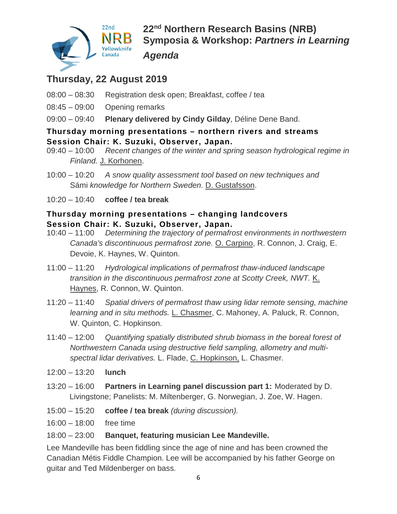

**22nd Northern Research Basins (NRB) Symposia & Workshop:** *Partners in Learning Agenda*

## **Thursday, 22 August 2019**

- 08:00 08:30 Registration desk open; Breakfast, coffee / tea
- 08:45 09:00 Opening remarks
- 09:00 09:40 **Plenary delivered by Cindy Gilday**, Déline Dene Band.

# **Thursday morning presentations – northern rivers and streams Session Chair: K. Suzuki, Observer, Japan.**

- Recent changes of the winter and spring season hydrological regime in *Finland.* J. Korhonen.
- 10:00 10:20 *A snow quality assessment tool based on new techniques and*  Sámi *knowledge for Northern Sweden.* D. Gustafsson.
- 10:20 10:40 **coffee / tea break**

#### **Thursday morning presentations – changing landcovers Session Chair: K. Suzuki, Observer, Japan.**

- 10:40 11:00 *Determining the trajectory of permafrost environments in northwestern Canada's discontinuous permafrost zone.* O. Carpino, R. Connon, J. Craig, E. Devoie, K. Haynes, W. Quinton.
- 11:00 11:20 *Hydrological implications of permafrost thaw-induced landscape transition in the discontinuous permafrost zone at Scotty Creek, NWT.* K. Haynes, R. Connon, W. Quinton.
- 11:20 11:40 *Spatial drivers of permafrost thaw using lidar remote sensing, machine learning and in situ methods.* L. Chasmer, C. Mahoney, A. Paluck, R. Connon, W. Quinton, C. Hopkinson.
- 11:40 12:00 *Quantifying spatially distributed shrub biomass in the boreal forest of Northwestern Canada using destructive field sampling, allometry and multispectral lidar derivatives.* L. Flade, C. Hopkinson, L. Chasmer.
- 12:00 13:20 **lunch**
- 13:20 16:00 **Partners in Learning panel discussion part 1:** Moderated by D. Livingstone; Panelists: M. Miltenberger, G. Norwegian, J. Zoe, W. Hagen.
- 15:00 15:20 **coffee / tea break** *(during discussion).*
- 16:00 18:00 free time

#### 18:00 – 23:00 **Banquet, featuring musician Lee Mandeville.**

Lee Mandeville has been fiddling since the age of nine and has been crowned the Canadian Métis Fiddle Champion. Lee will be accompanied by his father George on guitar and Ted Mildenberger on bass.